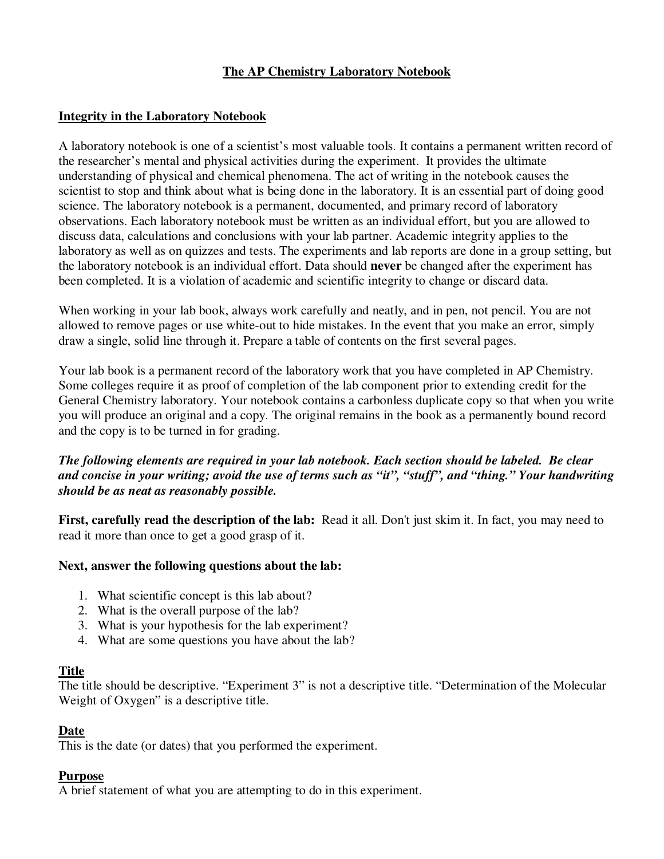# **The AP Chemistry Laboratory Notebook**

### **Integrity in the Laboratory Notebook**

A laboratory notebook is one of a scientist's most valuable tools. It contains a permanent written record of the researcher's mental and physical activities during the experiment. It provides the ultimate understanding of physical and chemical phenomena. The act of writing in the notebook causes the scientist to stop and think about what is being done in the laboratory. It is an essential part of doing good science. The laboratory notebook is a permanent, documented, and primary record of laboratory observations. Each laboratory notebook must be written as an individual effort, but you are allowed to discuss data, calculations and conclusions with your lab partner. Academic integrity applies to the laboratory as well as on quizzes and tests. The experiments and lab reports are done in a group setting, but the laboratory notebook is an individual effort. Data should **never** be changed after the experiment has been completed. It is a violation of academic and scientific integrity to change or discard data.

When working in your lab book, always work carefully and neatly, and in pen, not pencil. You are not allowed to remove pages or use white-out to hide mistakes. In the event that you make an error, simply draw a single, solid line through it. Prepare a table of contents on the first several pages.

Your lab book is a permanent record of the laboratory work that you have completed in AP Chemistry. Some colleges require it as proof of completion of the lab component prior to extending credit for the General Chemistry laboratory. Your notebook contains a carbonless duplicate copy so that when you write you will produce an original and a copy. The original remains in the book as a permanently bound record and the copy is to be turned in for grading.

### *The following elements are required in your lab notebook. Each section should be labeled. Be clear and concise in your writing; avoid the use of terms such as "it", "stuff", and "thing." Your handwriting should be as neat as reasonably possible.*

**First, carefully read the description of the lab:** Read it all. Don't just skim it. In fact, you may need to read it more than once to get a good grasp of it.

#### **Next, answer the following questions about the lab:**

- 1. What scientific concept is this lab about?
- 2. What is the overall purpose of the lab?
- 3. What is your hypothesis for the lab experiment?
- 4. What are some questions you have about the lab?

#### **Title**

The title should be descriptive. "Experiment 3" is not a descriptive title. "Determination of the Molecular Weight of Oxygen" is a descriptive title.

#### **Date**

This is the date (or dates) that you performed the experiment.

#### **Purpose**

A brief statement of what you are attempting to do in this experiment.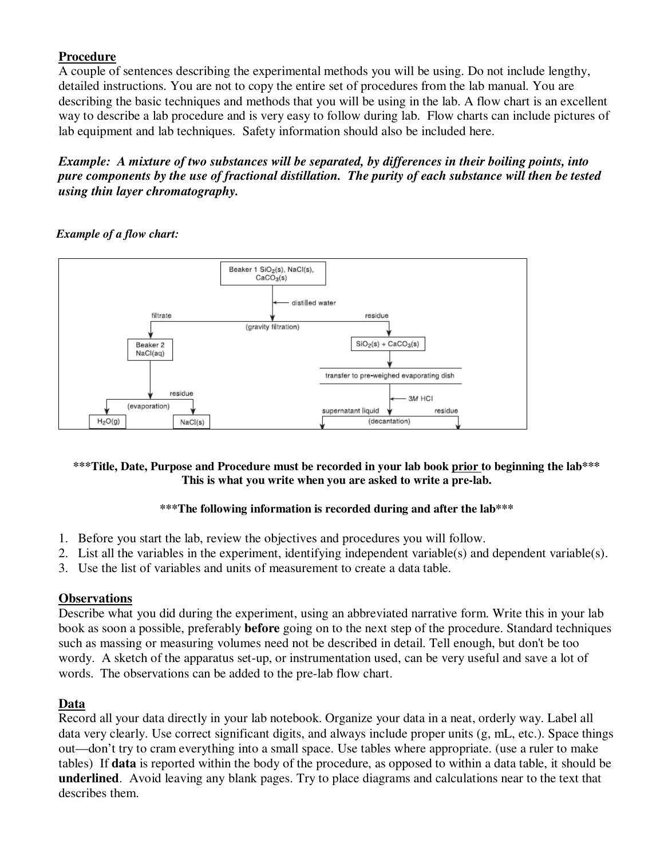# **Procedure**

A couple of sentences describing the experimental methods you will be using. Do not include lengthy, detailed instructions. You are not to copy the entire set of procedures from the lab manual. You are describing the basic techniques and methods that you will be using in the lab. A flow chart is an excellent way to describe a lab procedure and is very easy to follow during lab. Flow charts can include pictures of lab equipment and lab techniques. Safety information should also be included here.

*Example: A mixture of two substances will be separated, by differences in their boiling points, into pure components by the use of fractional distillation. The purity of each substance will then be tested using thin layer chromatography.* 

# *Example of a flow chart:*



### **\*\*\*Title, Date, Purpose and Procedure must be recorded in your lab book prior to beginning the lab\*\*\* This is what you write when you are asked to write a pre-lab.**

# **\*\*\*The following information is recorded during and after the lab\*\*\***

- 1. Before you start the lab, review the objectives and procedures you will follow.
- 2. List all the variables in the experiment, identifying independent variable(s) and dependent variable(s).
- 3. Use the list of variables and units of measurement to create a data table.

# **Observations**

Describe what you did during the experiment, using an abbreviated narrative form. Write this in your lab book as soon a possible, preferably **before** going on to the next step of the procedure. Standard techniques such as massing or measuring volumes need not be described in detail. Tell enough, but don't be too wordy. A sketch of the apparatus set-up, or instrumentation used, can be very useful and save a lot of words. The observations can be added to the pre-lab flow chart.

# **Data**

Record all your data directly in your lab notebook. Organize your data in a neat, orderly way. Label all data very clearly. Use correct significant digits, and always include proper units (g, mL, etc.). Space things out—don't try to cram everything into a small space. Use tables where appropriate. (use a ruler to make tables) If **data** is reported within the body of the procedure, as opposed to within a data table, it should be **underlined**. Avoid leaving any blank pages. Try to place diagrams and calculations near to the text that describes them.